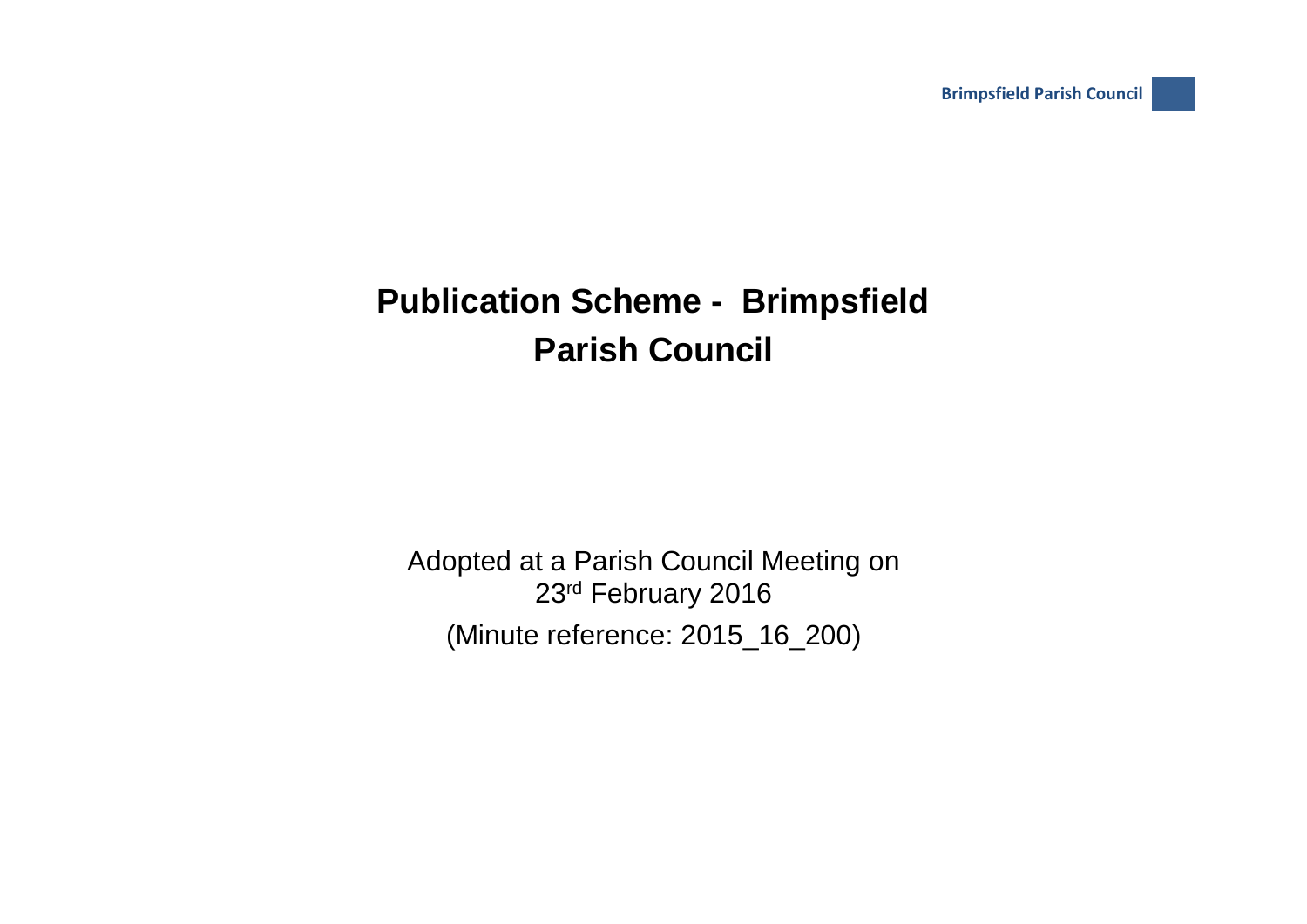## **Publication Scheme - Brimpsfield Parish Council**

Adopted at a Parish Council Meeting on 23rd February 2016 (Minute reference: 2015\_16\_200)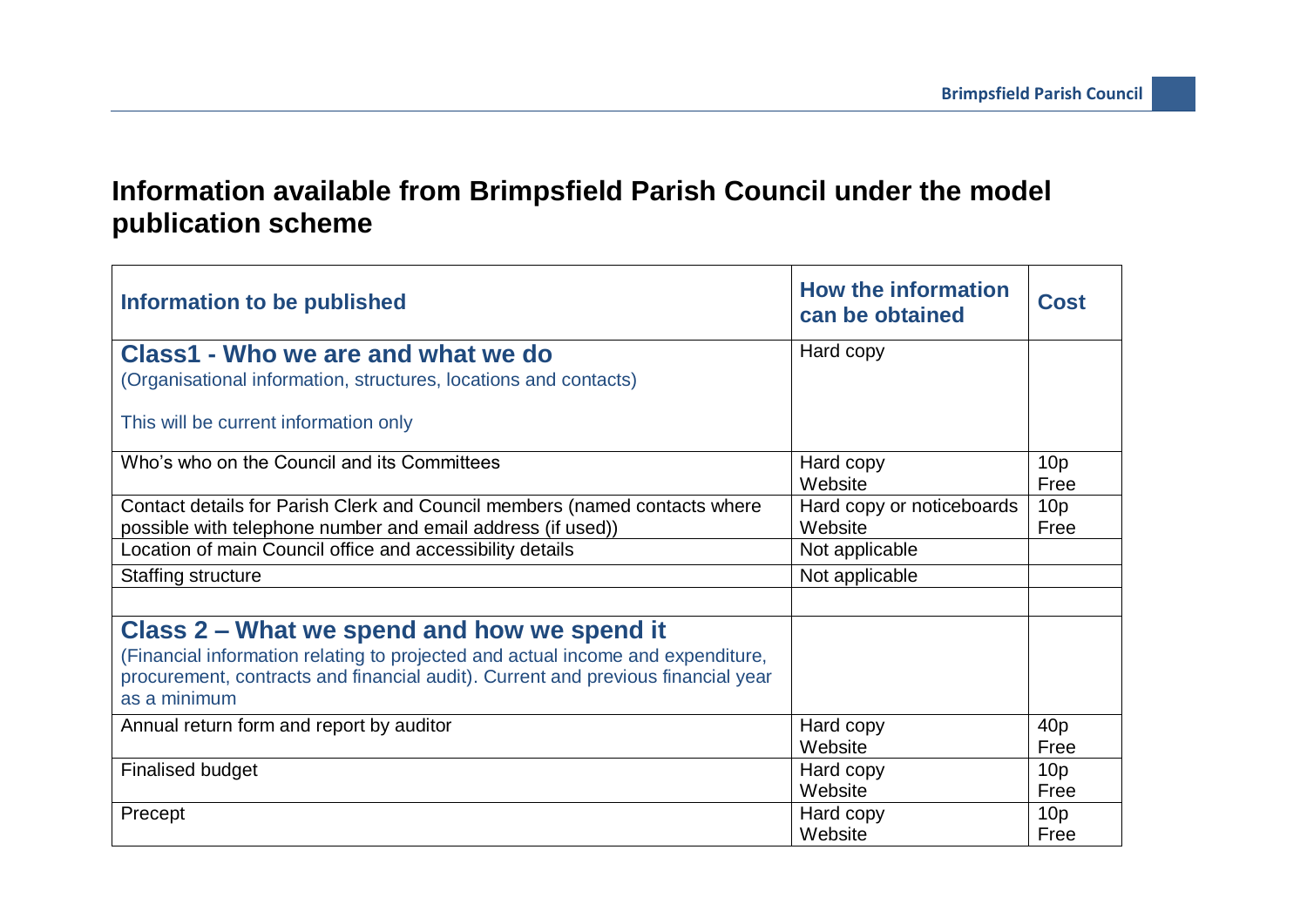## **Information available from Brimpsfield Parish Council under the model publication scheme**

| Information to be published                                                                      | <b>How the information</b><br>can be obtained | <b>Cost</b>             |
|--------------------------------------------------------------------------------------------------|-----------------------------------------------|-------------------------|
| Class1 - Who we are and what we do                                                               | Hard copy                                     |                         |
| (Organisational information, structures, locations and contacts)                                 |                                               |                         |
| This will be current information only                                                            |                                               |                         |
| Who's who on the Council and its Committees                                                      | Hard copy<br>Website                          | 10 <sub>p</sub><br>Free |
| Contact details for Parish Clerk and Council members (named contacts where                       | Hard copy or noticeboards                     | 10 <sub>p</sub>         |
| possible with telephone number and email address (if used))                                      | Website                                       | Free                    |
| Location of main Council office and accessibility details                                        | Not applicable                                |                         |
| Staffing structure                                                                               | Not applicable                                |                         |
|                                                                                                  |                                               |                         |
| Class 2 – What we spend and how we spend it                                                      |                                               |                         |
| (Financial information relating to projected and actual income and expenditure,                  |                                               |                         |
| procurement, contracts and financial audit). Current and previous financial year<br>as a minimum |                                               |                         |
| Annual return form and report by auditor                                                         | Hard copy                                     | 40 <sub>p</sub>         |
|                                                                                                  | Website                                       | Free                    |
| <b>Finalised budget</b>                                                                          | Hard copy                                     | 10 <sub>p</sub>         |
|                                                                                                  | Website                                       | Free                    |
| Precept                                                                                          | Hard copy                                     | 10 <sub>p</sub>         |
|                                                                                                  | Website                                       | Free                    |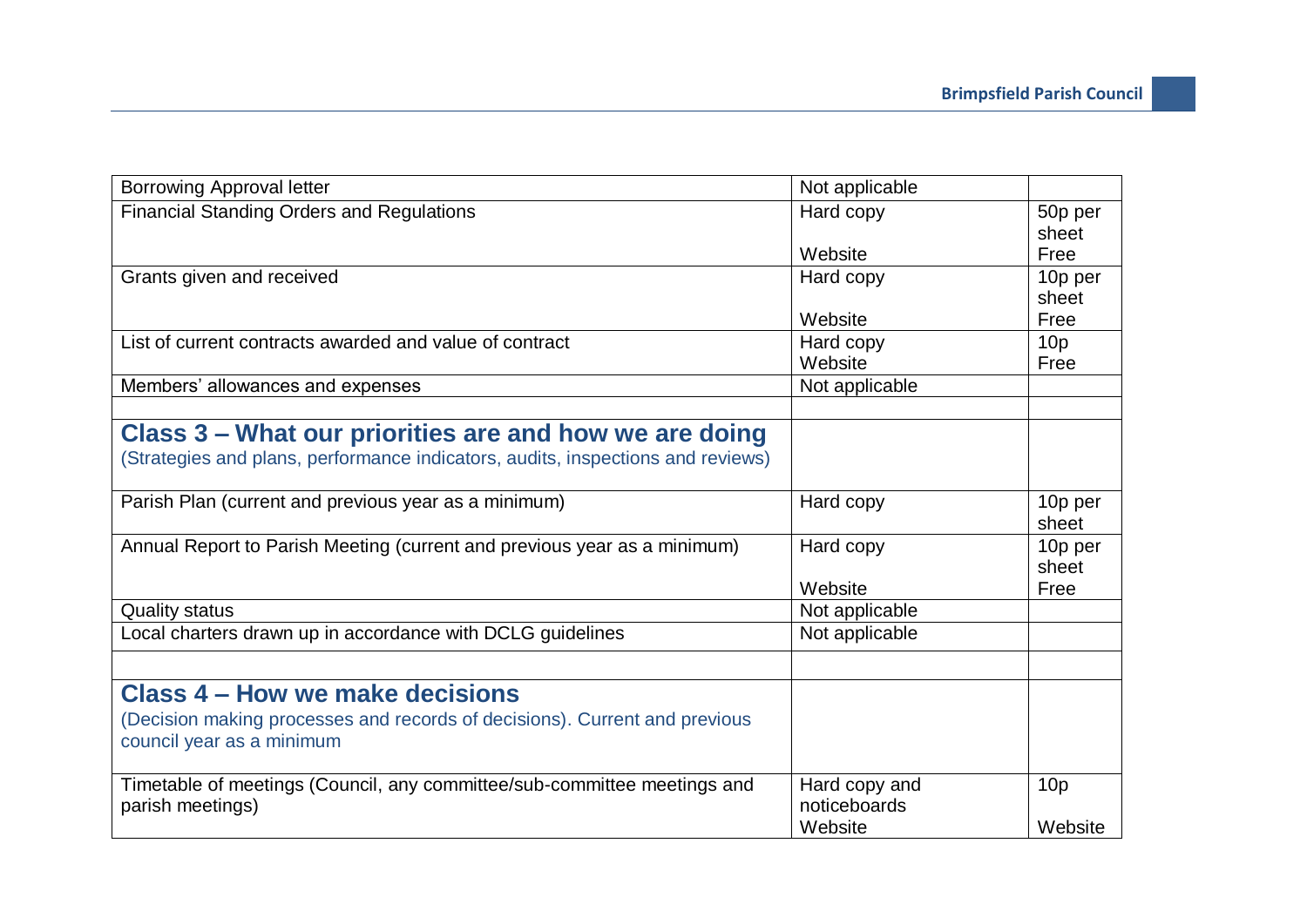| Not applicable |                                                                                                                                                                      |
|----------------|----------------------------------------------------------------------------------------------------------------------------------------------------------------------|
| Hard copy      | 50p per                                                                                                                                                              |
|                | sheet                                                                                                                                                                |
|                | Free                                                                                                                                                                 |
|                | 10p per                                                                                                                                                              |
|                | sheet                                                                                                                                                                |
|                | Free                                                                                                                                                                 |
|                | 10 <sub>p</sub>                                                                                                                                                      |
|                | Free                                                                                                                                                                 |
|                |                                                                                                                                                                      |
|                |                                                                                                                                                                      |
|                |                                                                                                                                                                      |
|                |                                                                                                                                                                      |
|                |                                                                                                                                                                      |
| Hard copy      | 10p per                                                                                                                                                              |
|                | sheet                                                                                                                                                                |
| Hard copy      | 10p per                                                                                                                                                              |
|                | sheet                                                                                                                                                                |
|                | Free                                                                                                                                                                 |
|                |                                                                                                                                                                      |
|                |                                                                                                                                                                      |
|                |                                                                                                                                                                      |
|                |                                                                                                                                                                      |
|                |                                                                                                                                                                      |
|                |                                                                                                                                                                      |
|                |                                                                                                                                                                      |
|                | 10 <sub>p</sub>                                                                                                                                                      |
|                |                                                                                                                                                                      |
|                | Website                                                                                                                                                              |
|                | Website<br>Hard copy<br>Website<br>Hard copy<br>Website<br>Not applicable<br>Website<br>Not applicable<br>Not applicable<br>Hard copy and<br>noticeboards<br>Website |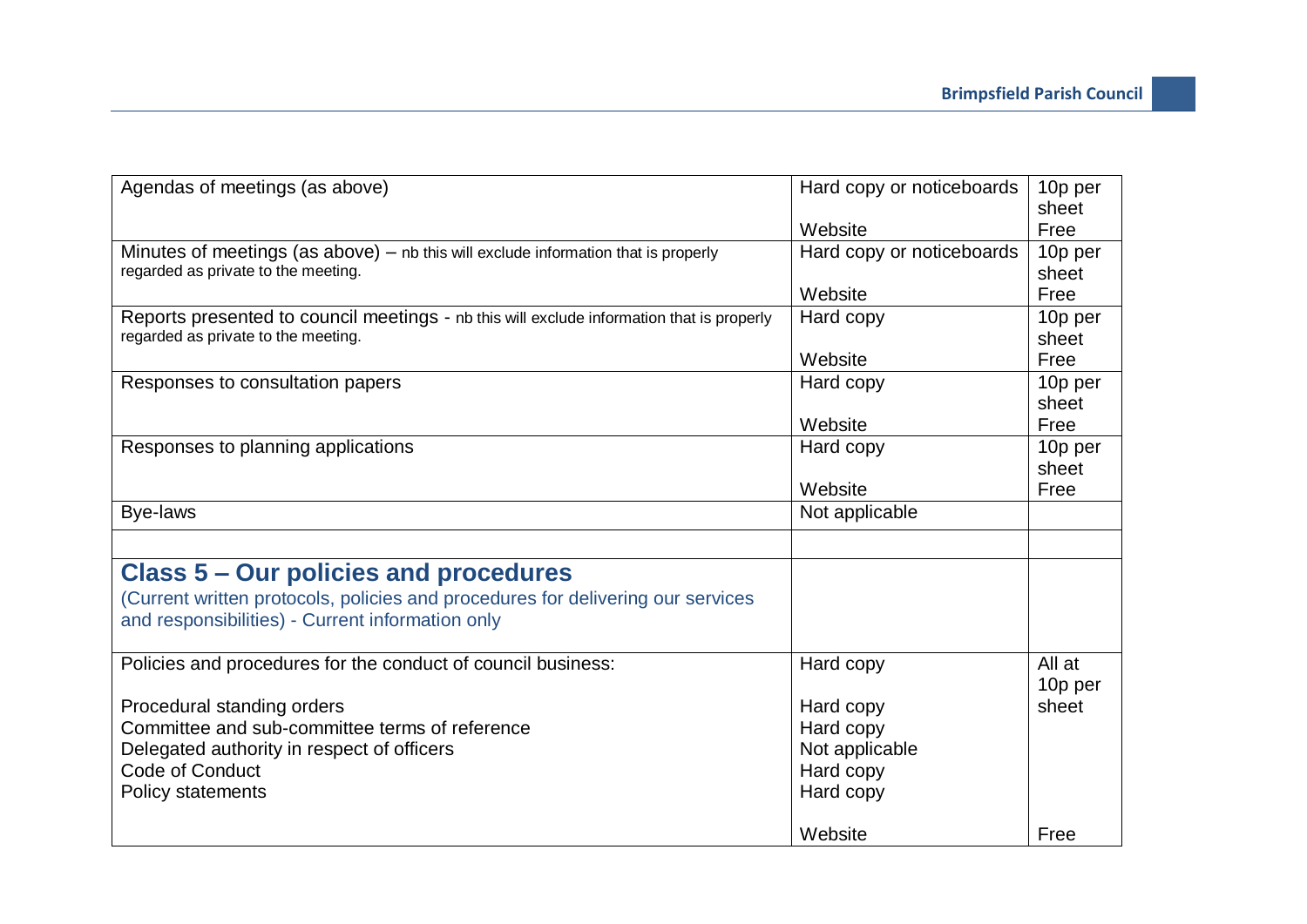| Agendas of meetings (as above)                                                            | Hard copy or noticeboards | 10p per |
|-------------------------------------------------------------------------------------------|---------------------------|---------|
|                                                                                           |                           | sheet   |
|                                                                                           | Website                   | Free    |
| Minutes of meetings (as above) $-$ nb this will exclude information that is properly      | Hard copy or noticeboards | 10p per |
| regarded as private to the meeting.                                                       |                           | sheet   |
|                                                                                           | Website                   | Free    |
| Reports presented to council meetings - nb this will exclude information that is properly | Hard copy                 | 10p per |
| regarded as private to the meeting.                                                       |                           | sheet   |
|                                                                                           | Website                   | Free    |
| Responses to consultation papers                                                          | Hard copy                 | 10p per |
|                                                                                           |                           | sheet   |
|                                                                                           | Website                   | Free    |
| Responses to planning applications                                                        | Hard copy                 | 10p per |
|                                                                                           |                           | sheet   |
|                                                                                           | Website                   | Free    |
| Bye-laws                                                                                  | Not applicable            |         |
|                                                                                           |                           |         |
| Class 5 – Our policies and procedures                                                     |                           |         |
| (Current written protocols, policies and procedures for delivering our services           |                           |         |
| and responsibilities) - Current information only                                          |                           |         |
|                                                                                           |                           |         |
| Policies and procedures for the conduct of council business:                              | Hard copy                 | All at  |
|                                                                                           |                           | 10p per |
| Procedural standing orders                                                                | Hard copy                 | sheet   |
| Committee and sub-committee terms of reference                                            | Hard copy                 |         |
| Delegated authority in respect of officers                                                | Not applicable            |         |
| Code of Conduct                                                                           | Hard copy                 |         |
| <b>Policy statements</b>                                                                  | Hard copy                 |         |
|                                                                                           |                           |         |
|                                                                                           | Website                   | Free    |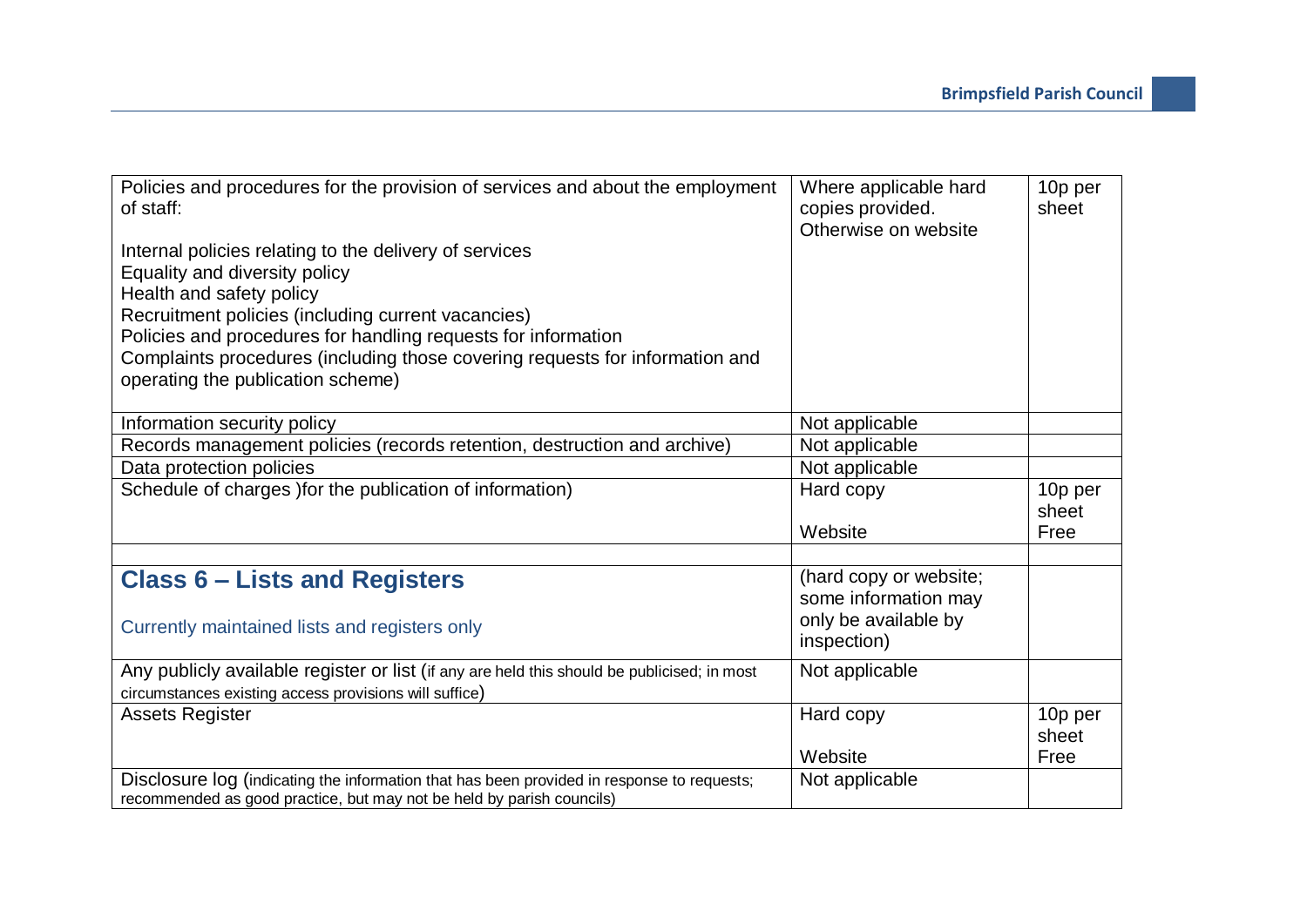| Policies and procedures for the provision of services and about the employment<br>of staff: | Where applicable hard<br>copies provided.<br>Otherwise on website | 10p per<br>sheet |
|---------------------------------------------------------------------------------------------|-------------------------------------------------------------------|------------------|
| Internal policies relating to the delivery of services                                      |                                                                   |                  |
| <b>Equality and diversity policy</b>                                                        |                                                                   |                  |
| Health and safety policy                                                                    |                                                                   |                  |
| Recruitment policies (including current vacancies)                                          |                                                                   |                  |
| Policies and procedures for handling requests for information                               |                                                                   |                  |
| Complaints procedures (including those covering requests for information and                |                                                                   |                  |
| operating the publication scheme)                                                           |                                                                   |                  |
|                                                                                             |                                                                   |                  |
| Information security policy                                                                 | Not applicable                                                    |                  |
| Records management policies (records retention, destruction and archive)                    | Not applicable                                                    |                  |
| Data protection policies                                                                    | Not applicable                                                    |                  |
| Schedule of charges ) for the publication of information)                                   | Hard copy                                                         | 10p per          |
|                                                                                             |                                                                   | sheet            |
|                                                                                             | Website                                                           | Free             |
|                                                                                             |                                                                   |                  |
| <b>Class 6 – Lists and Registers</b>                                                        | (hard copy or website;                                            |                  |
|                                                                                             | some information may                                              |                  |
| Currently maintained lists and registers only                                               | only be available by                                              |                  |
|                                                                                             | inspection)                                                       |                  |
| Any publicly available register or list (if any are held this should be publicised; in most | Not applicable                                                    |                  |
| circumstances existing access provisions will suffice)                                      |                                                                   |                  |
| <b>Assets Register</b>                                                                      | Hard copy                                                         | 10p per          |
|                                                                                             |                                                                   | sheet            |
|                                                                                             | Website                                                           | Free             |
| Disclosure log (indicating the information that has been provided in response to requests;  | Not applicable                                                    |                  |
| recommended as good practice, but may not be held by parish councils)                       |                                                                   |                  |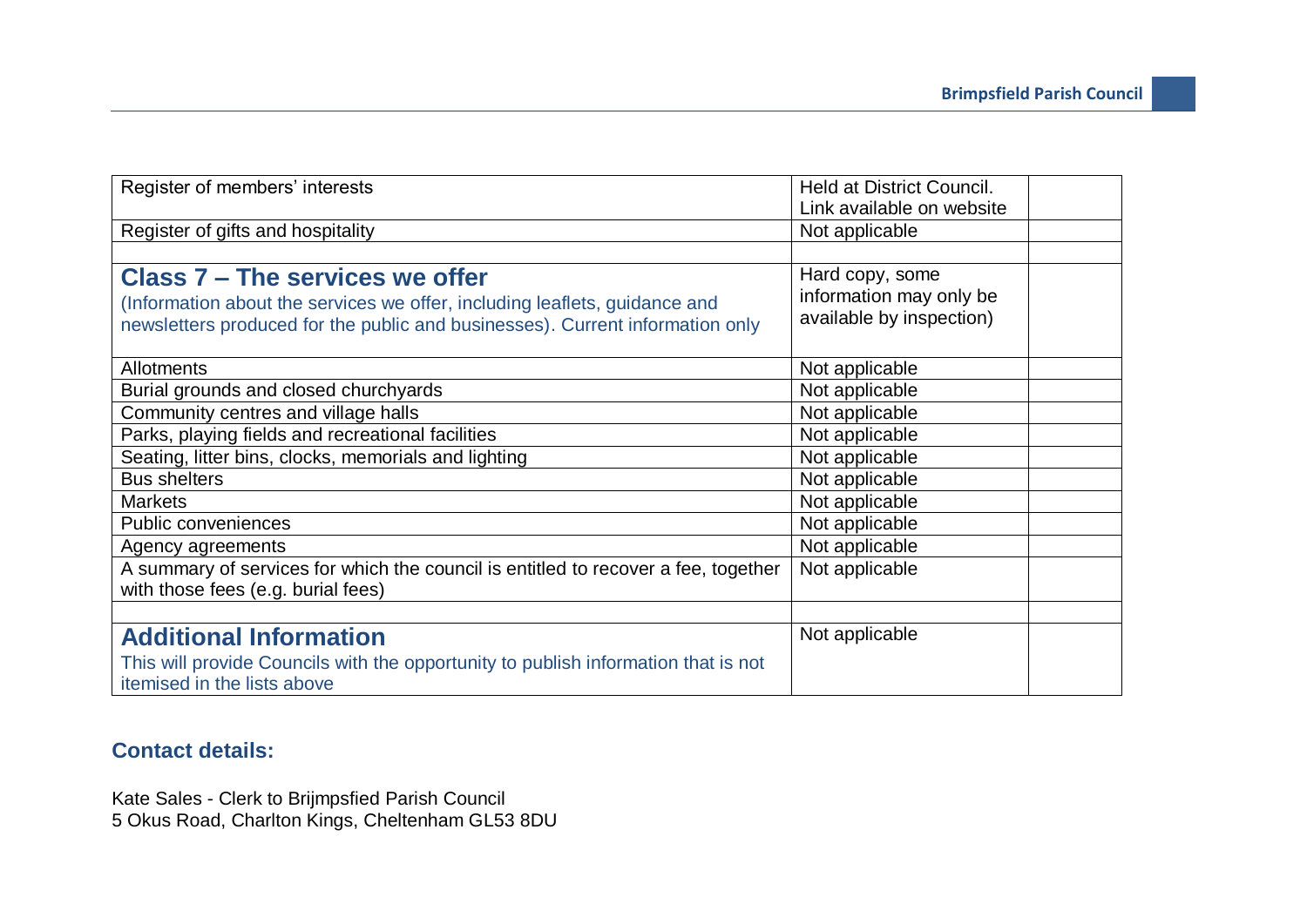| Register of members' interests                                                     | <b>Held at District Council.</b> |
|------------------------------------------------------------------------------------|----------------------------------|
|                                                                                    | Link available on website        |
| Register of gifts and hospitality                                                  | Not applicable                   |
|                                                                                    |                                  |
| Class 7 – The services we offer                                                    | Hard copy, some                  |
| (Information about the services we offer, including leaflets, guidance and         | information may only be          |
| newsletters produced for the public and businesses). Current information only      | available by inspection)         |
|                                                                                    |                                  |
| Allotments                                                                         | Not applicable                   |
| Burial grounds and closed churchyards                                              | Not applicable                   |
| Community centres and village halls                                                | Not applicable                   |
| Parks, playing fields and recreational facilities                                  | Not applicable                   |
| Seating, litter bins, clocks, memorials and lighting                               | Not applicable                   |
| <b>Bus shelters</b>                                                                | Not applicable                   |
| <b>Markets</b>                                                                     | Not applicable                   |
| <b>Public conveniences</b>                                                         | Not applicable                   |
| Agency agreements                                                                  | Not applicable                   |
| A summary of services for which the council is entitled to recover a fee, together | Not applicable                   |
| with those fees (e.g. burial fees)                                                 |                                  |
|                                                                                    |                                  |
| <b>Additional Information</b>                                                      | Not applicable                   |
| This will provide Councils with the opportunity to publish information that is not |                                  |
| itemised in the lists above                                                        |                                  |

## **Contact details:**

Kate Sales - Clerk to Brijmpsfied Parish Council 5 Okus Road, Charlton Kings, Cheltenham GL53 8DU